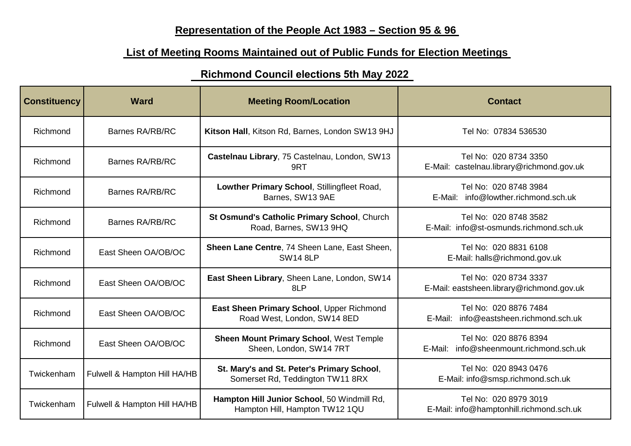## **Representation of the People Act 1983 – Section 95 & 96**

## **List of Meeting Rooms Maintained out of Public Funds for Election Meetings**

## **Richmond Council elections 5th May 2022**

| <b>Constituency</b> | <b>Ward</b>                  | <b>Meeting Room/Location</b>                                                   | <b>Contact</b>                                                     |
|---------------------|------------------------------|--------------------------------------------------------------------------------|--------------------------------------------------------------------|
| Richmond            | Barnes RA/RB/RC              | Kitson Hall, Kitson Rd, Barnes, London SW13 9HJ                                | Tel No: 07834 536530                                               |
| Richmond            | <b>Barnes RA/RB/RC</b>       | Castelnau Library, 75 Castelnau, London, SW13<br>9RT                           | Tel No: 020 8734 3350<br>E-Mail: castelnau.library@richmond.gov.uk |
| Richmond            | <b>Barnes RA/RB/RC</b>       | Lowther Primary School, Stillingfleet Road,<br>Barnes, SW13 9AE                | Tel No: 020 8748 3984<br>E-Mail: info@lowther.richmond.sch.uk      |
| Richmond            | <b>Barnes RA/RB/RC</b>       | St Osmund's Catholic Primary School, Church<br>Road, Barnes, SW13 9HQ          | Tel No: 020 8748 3582<br>E-Mail: info@st-osmunds.richmond.sch.uk   |
| Richmond            | East Sheen OA/OB/OC          | Sheen Lane Centre, 74 Sheen Lane, East Sheen,<br><b>SW14 8LP</b>               | Tel No: 020 8831 6108<br>E-Mail: halls@richmond.gov.uk             |
| Richmond            | East Sheen OA/OB/OC          | East Sheen Library, Sheen Lane, London, SW14<br>8LP                            | Tel No: 020 8734 3337<br>E-Mail: eastsheen.library@richmond.gov.uk |
| Richmond            | East Sheen OA/OB/OC          | East Sheen Primary School, Upper Richmond<br>Road West, London, SW14 8ED       | Tel No: 020 8876 7484<br>info@eastsheen.richmond.sch.uk<br>E-Mail: |
| Richmond            | East Sheen OA/OB/OC          | <b>Sheen Mount Primary School, West Temple</b><br>Sheen, London, SW14 7RT      | Tel No: 020 8876 8394<br>E-Mail: info@sheenmount.richmond.sch.uk   |
| Twickenham          | Fulwell & Hampton Hill HA/HB | St. Mary's and St. Peter's Primary School,<br>Somerset Rd, Teddington TW11 8RX | Tel No: 020 8943 0476<br>E-Mail: info@smsp.richmond.sch.uk         |
| Twickenham          | Fulwell & Hampton Hill HA/HB | Hampton Hill Junior School, 50 Windmill Rd,<br>Hampton Hill, Hampton TW12 1QU  | Tel No: 020 8979 3019<br>E-Mail: info@hamptonhill.richmond.sch.uk  |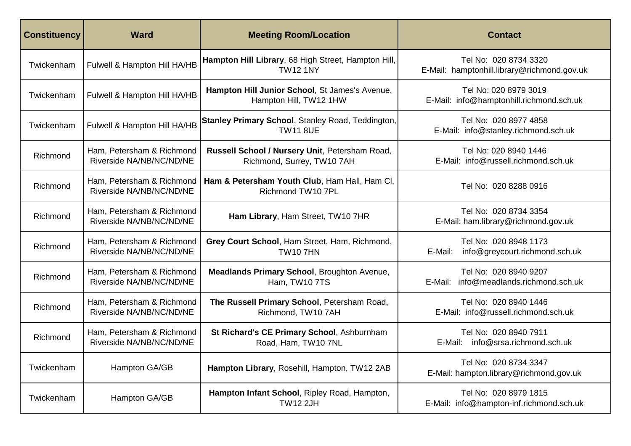| <b>Constituency</b> | <b>Ward</b>                                           | <b>Meeting Room/Location</b>                                                 | <b>Contact</b>                                                       |
|---------------------|-------------------------------------------------------|------------------------------------------------------------------------------|----------------------------------------------------------------------|
| Twickenham          | Fulwell & Hampton Hill HA/HB                          | Hampton Hill Library, 68 High Street, Hampton Hill,<br><b>TW12 1NY</b>       | Tel No: 020 8734 3320<br>E-Mail: hamptonhill.library@richmond.gov.uk |
| Twickenham          | Fulwell & Hampton Hill HA/HB                          | Hampton Hill Junior School, St James's Avenue,<br>Hampton Hill, TW12 1HW     | Tel No: 020 8979 3019<br>E-Mail: info@hamptonhill.richmond.sch.uk    |
| Twickenham          | Fulwell & Hampton Hill HA/HB                          | Stanley Primary School, Stanley Road, Teddington,<br><b>TW11 8UE</b>         | Tel No: 020 8977 4858<br>E-Mail: info@stanley.richmond.sch.uk        |
| Richmond            | Ham, Petersham & Richmond<br>Riverside NA/NB/NC/ND/NE | Russell School / Nursery Unit, Petersham Road,<br>Richmond, Surrey, TW10 7AH | Tel No: 020 8940 1446<br>E-Mail: info@russell.richmond.sch.uk        |
| Richmond            | Ham, Petersham & Richmond<br>Riverside NA/NB/NC/ND/NE | Ham & Petersham Youth Club, Ham Hall, Ham Cl,<br>Richmond TW10 7PL           | Tel No: 020 8288 0916                                                |
| Richmond            | Ham, Petersham & Richmond<br>Riverside NA/NB/NC/ND/NE | Ham Library, Ham Street, TW10 7HR                                            | Tel No: 020 8734 3354<br>E-Mail: ham.library@richmond.gov.uk         |
| Richmond            | Ham, Petersham & Richmond<br>Riverside NA/NB/NC/ND/NE | Grey Court School, Ham Street, Ham, Richmond,<br><b>TW107HN</b>              | Tel No: 020 8948 1173<br>E-Mail:<br>info@greycourt.richmond.sch.uk   |
| Richmond            | Ham, Petersham & Richmond<br>Riverside NA/NB/NC/ND/NE | Meadlands Primary School, Broughton Avenue,<br>Ham, TW10 7TS                 | Tel No: 020 8940 9207<br>E-Mail: info@meadlands.richmond.sch.uk      |
| Richmond            | Ham, Petersham & Richmond<br>Riverside NA/NB/NC/ND/NE | The Russell Primary School, Petersham Road,<br>Richmond, TW10 7AH            | Tel No: 020 8940 1446<br>E-Mail: info@russell.richmond.sch.uk        |
| Richmond            | Ham, Petersham & Richmond<br>Riverside NA/NB/NC/ND/NE | St Richard's CE Primary School, Ashburnham<br>Road, Ham, TW10 7NL            | Tel No: 020 8940 7911<br>E-Mail: info@srsa.richmond.sch.uk           |
| Twickenham          | Hampton GA/GB                                         | Hampton Library, Rosehill, Hampton, TW12 2AB                                 | Tel No: 020 8734 3347<br>E-Mail: hampton.library@richmond.gov.uk     |
| Twickenham          | Hampton GA/GB                                         | Hampton Infant School, Ripley Road, Hampton,<br><b>TW12 2JH</b>              | Tel No: 020 8979 1815<br>E-Mail: info@hampton-inf.richmond.sch.uk    |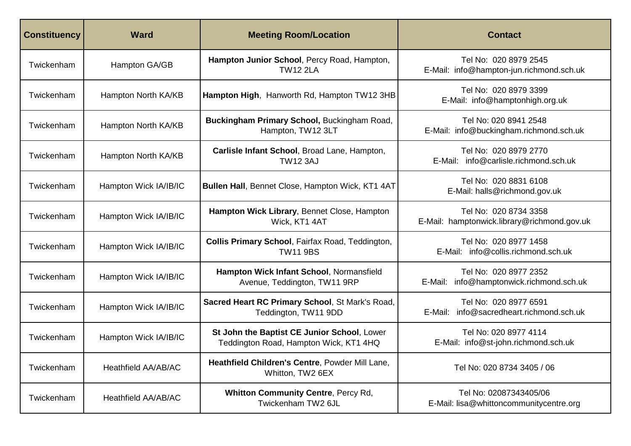| <b>Constituency</b> | <b>Ward</b>           | <b>Meeting Room/Location</b>                                                          | <b>Contact</b>                                                       |
|---------------------|-----------------------|---------------------------------------------------------------------------------------|----------------------------------------------------------------------|
| Twickenham          | Hampton GA/GB         | Hampton Junior School, Percy Road, Hampton,<br><b>TW12 2LA</b>                        | Tel No: 020 8979 2545<br>E-Mail: info@hampton-jun.richmond.sch.uk    |
| Twickenham          | Hampton North KA/KB   | Hampton High, Hanworth Rd, Hampton TW12 3HB                                           | Tel No: 020 8979 3399<br>E-Mail: info@hamptonhigh.org.uk             |
| Twickenham          | Hampton North KA/KB   | Buckingham Primary School, Buckingham Road,<br>Hampton, TW12 3LT                      | Tel No: 020 8941 2548<br>E-Mail: info@buckingham.richmond.sch.uk     |
| Twickenham          | Hampton North KA/KB   | Carlisle Infant School, Broad Lane, Hampton,<br><b>TW12 3AJ</b>                       | Tel No: 020 8979 2770<br>E-Mail: info@carlisle.richmond.sch.uk       |
| Twickenham          | Hampton Wick IA/IB/IC | Bullen Hall, Bennet Close, Hampton Wick, KT1 4AT                                      | Tel No: 020 8831 6108<br>E-Mail: halls@richmond.gov.uk               |
| Twickenham          | Hampton Wick IA/IB/IC | Hampton Wick Library, Bennet Close, Hampton<br>Wick, KT1 4AT                          | Tel No: 020 8734 3358<br>E-Mail: hamptonwick.library@richmond.gov.uk |
| Twickenham          | Hampton Wick IA/IB/IC | Collis Primary School, Fairfax Road, Teddington,<br><b>TW11 9BS</b>                   | Tel No: 020 8977 1458<br>E-Mail: info@collis.richmond.sch.uk         |
| Twickenham          | Hampton Wick IA/IB/IC | Hampton Wick Infant School, Normansfield<br>Avenue, Teddington, TW11 9RP              | Tel No: 020 8977 2352<br>info@hamptonwick.richmond.sch.uk<br>E-Mail: |
| Twickenham          | Hampton Wick IA/IB/IC | Sacred Heart RC Primary School, St Mark's Road,<br>Teddington, TW11 9DD               | Tel No: 020 8977 6591<br>E-Mail: info@sacredheart.richmond.sch.uk    |
| Twickenham          | Hampton Wick IA/IB/IC | St John the Baptist CE Junior School, Lower<br>Teddington Road, Hampton Wick, KT1 4HQ | Tel No: 020 8977 4114<br>E-Mail: info@st-john.richmond.sch.uk        |
| Twickenham          | Heathfield AA/AB/AC   | Heathfield Children's Centre, Powder Mill Lane,<br>Whitton, TW2 6EX                   | Tel No: 020 8734 3405 / 06                                           |
| Twickenham          | Heathfield AA/AB/AC   | <b>Whitton Community Centre, Percy Rd,</b><br>Twickenham TW2 6JL                      | Tel No: 02087343405/06<br>E-Mail: lisa@whittoncommunitycentre.org    |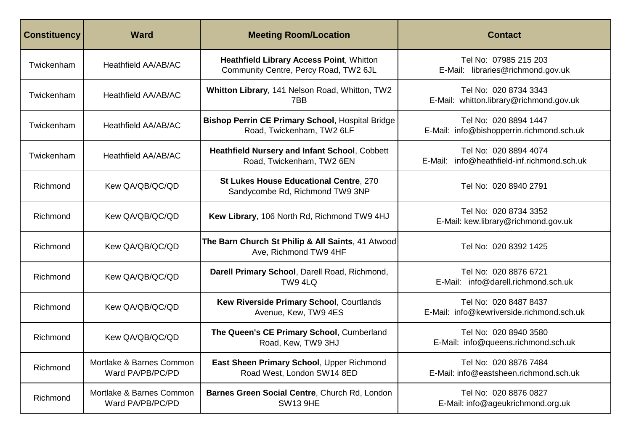| <b>Constituency</b> | <b>Ward</b>                                  | <b>Meeting Room/Location</b>                                                         | <b>Contact</b>                                                       |
|---------------------|----------------------------------------------|--------------------------------------------------------------------------------------|----------------------------------------------------------------------|
| Twickenham          | Heathfield AA/AB/AC                          | Heathfield Library Access Point, Whitton<br>Community Centre, Percy Road, TW2 6JL    | Tel No: 07985 215 203<br>E-Mail: libraries@richmond.gov.uk           |
| Twickenham          | Heathfield AA/AB/AC                          | Whitton Library, 141 Nelson Road, Whitton, TW2<br>7BB                                | Tel No: 020 8734 3343<br>E-Mail: whitton.library@richmond.gov.uk     |
| Twickenham          | Heathfield AA/AB/AC                          | <b>Bishop Perrin CE Primary School, Hospital Bridge</b><br>Road, Twickenham, TW2 6LF | Tel No: 020 8894 1447<br>E-Mail: info@bishopperrin.richmond.sch.uk   |
| Twickenham          | Heathfield AA/AB/AC                          | <b>Heathfield Nursery and Infant School, Cobbett</b><br>Road, Twickenham, TW2 6EN    | Tel No: 020 8894 4074<br>E-Mail: info@heathfield-inf.richmond.sch.uk |
| Richmond            | Kew QA/QB/QC/QD                              | <b>St Lukes House Educational Centre, 270</b><br>Sandycombe Rd, Richmond TW9 3NP     | Tel No: 020 8940 2791                                                |
| Richmond            | Kew QA/QB/QC/QD                              | Kew Library, 106 North Rd, Richmond TW9 4HJ                                          | Tel No: 020 8734 3352<br>E-Mail: kew.library@richmond.gov.uk         |
| Richmond            | Kew QA/QB/QC/QD                              | The Barn Church St Philip & All Saints, 41 Atwood<br>Ave, Richmond TW9 4HF           | Tel No: 020 8392 1425                                                |
| Richmond            | Kew QA/QB/QC/QD                              | Darell Primary School, Darell Road, Richmond,<br>TW9 4LQ                             | Tel No: 020 8876 6721<br>E-Mail: info@darell.richmond.sch.uk         |
| Richmond            | Kew QA/QB/QC/QD                              | Kew Riverside Primary School, Courtlands<br>Avenue, Kew, TW9 4ES                     | Tel No: 020 8487 8437<br>E-Mail: info@kewriverside.richmond.sch.uk   |
| Richmond            | Kew QA/QB/QC/QD                              | The Queen's CE Primary School, Cumberland<br>Road, Kew, TW9 3HJ                      | Tel No: 020 8940 3580<br>E-Mail: info@queens.richmond.sch.uk         |
| Richmond            | Mortlake & Barnes Common<br>Ward PA/PB/PC/PD | East Sheen Primary School, Upper Richmond<br>Road West, London SW14 8ED              | Tel No: 020 8876 7484<br>E-Mail: info@eastsheen.richmond.sch.uk      |
| Richmond            | Mortlake & Barnes Common<br>Ward PA/PB/PC/PD | Barnes Green Social Centre, Church Rd, London<br><b>SW13 9HE</b>                     | Tel No: 020 8876 0827<br>E-Mail: info@ageukrichmond.org.uk           |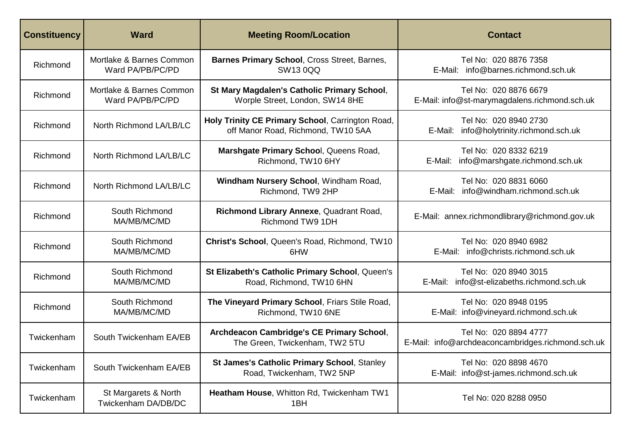| <b>Constituency</b> | <b>Ward</b>                                  | <b>Meeting Room/Location</b>                                                           | <b>Contact</b>                                                             |
|---------------------|----------------------------------------------|----------------------------------------------------------------------------------------|----------------------------------------------------------------------------|
| Richmond            | Mortlake & Barnes Common<br>Ward PA/PB/PC/PD | Barnes Primary School, Cross Street, Barnes,<br>SW13 0QQ                               | Tel No: 020 8876 7358<br>E-Mail: info@barnes.richmond.sch.uk               |
| Richmond            | Mortlake & Barnes Common<br>Ward PA/PB/PC/PD | St Mary Magdalen's Catholic Primary School,<br>Worple Street, London, SW14 8HE         | Tel No: 020 8876 6679<br>E-Mail: info@st-marymagdalens.richmond.sch.uk     |
| Richmond            | North Richmond LA/LB/LC                      | Holy Trinity CE Primary School, Carrington Road,<br>off Manor Road, Richmond, TW10 5AA | Tel No: 020 8940 2730<br>E-Mail: info@holytrinity.richmond.sch.uk          |
| Richmond            | North Richmond LA/LB/LC                      | Marshgate Primary School, Queens Road,<br>Richmond, TW10 6HY                           | Tel No: 020 8332 6219<br>E-Mail: info@marshgate.richmond.sch.uk            |
| Richmond            | North Richmond LA/LB/LC                      | Windham Nursery School, Windham Road,<br>Richmond, TW9 2HP                             | Tel No: 020 8831 6060<br>E-Mail: info@windham.richmond.sch.uk              |
| Richmond            | South Richmond<br>MA/MB/MC/MD                | Richmond Library Annexe, Quadrant Road,<br>Richmond TW9 1DH                            | E-Mail: annex.richmondlibrary@richmond.gov.uk                              |
| Richmond            | South Richmond<br>MA/MB/MC/MD                | Christ's School, Queen's Road, Richmond, TW10<br>6HW                                   | Tel No: 020 8940 6982<br>E-Mail: info@christs.richmond.sch.uk              |
| Richmond            | South Richmond<br>MA/MB/MC/MD                | St Elizabeth's Catholic Primary School, Queen's<br>Road, Richmond, TW10 6HN            | Tel No: 020 8940 3015<br>E-Mail: info@st-elizabeths.richmond.sch.uk        |
| Richmond            | South Richmond<br>MA/MB/MC/MD                | The Vineyard Primary School, Friars Stile Road,<br>Richmond, TW10 6NE                  | Tel No: 020 8948 0195<br>E-Mail: info@vineyard.richmond.sch.uk             |
| Twickenham          | South Twickenham EA/EB                       | Archdeacon Cambridge's CE Primary School,<br>The Green, Twickenham, TW2 5TU            | Tel No: 020 8894 4777<br>E-Mail: info@archdeaconcambridges.richmond.sch.uk |
| Twickenham          | South Twickenham EA/EB                       | St James's Catholic Primary School, Stanley<br>Road, Twickenham, TW2 5NP               | Tel No: 020 8898 4670<br>E-Mail: info@st-james.richmond.sch.uk             |
| Twickenham          | St Margarets & North<br>Twickenham DA/DB/DC  | Heatham House, Whitton Rd, Twickenham TW1<br>1BH                                       | Tel No: 020 8288 0950                                                      |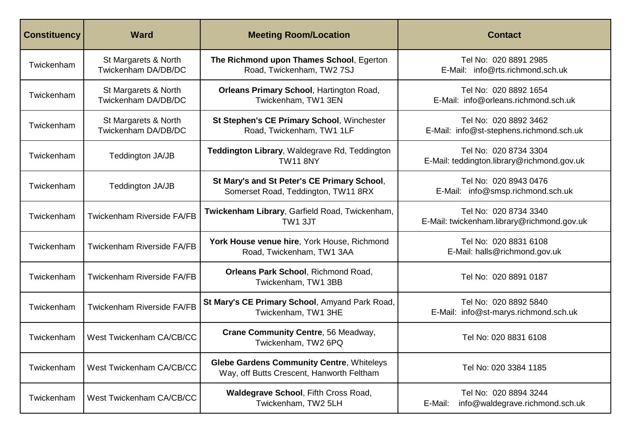| <b>Constituency</b> | <b>Ward</b>                                 | <b>Meeting Room/Location</b>                                                                  | <b>Contact</b>                                                      |
|---------------------|---------------------------------------------|-----------------------------------------------------------------------------------------------|---------------------------------------------------------------------|
| Twickenham          | St Margarets & North<br>Twickenham DA/DB/DC | The Richmond upon Thames School, Egerton<br>Road, Twickenham, TW2 7SJ                         | Tel No: 020 8891 2985<br>E-Mail: info@rts.richmond.sch.uk           |
| Twickenham          | St Margarets & North<br>Twickenham DA/DB/DC | Orleans Primary School, Hartington Road,<br>Twickenham, TW1 3EN                               | Tel No: 020 8892 1654<br>E-Mail: info@orleans.richmond.sch.uk       |
| Twickenham          | St Margarets & North<br>Twickenham DA/DB/DC | St Stephen's CE Primary School, Winchester<br>Road, Twickenham, TW1 1LF                       | Tel No: 020 8892 3462<br>E-Mail: info@st-stephens.richmond.sch.uk   |
| Twickenham          | Teddington JA/JB                            | Teddington Library, Waldegrave Rd, Teddington<br><b>TW11 8NY</b>                              | Tel No: 020 8734 3304<br>E-Mail: teddington.library@richmond.gov.uk |
| Twickenham          | Teddington JA/JB                            | St Mary's and St Peter's CE Primary School,<br>Somerset Road, Teddington, TW11 8RX            | Tel No: 020 8943 0476<br>E-Mail: info@smsp.richmond.sch.uk          |
| Twickenham          | <b>Twickenham Riverside FA/FB</b>           | Twickenham Library, Garfield Road, Twickenham,<br>TW1 3JT                                     | Tel No: 020 8734 3340<br>E-Mail: twickenham.library@richmond.gov.uk |
| Twickenham          | <b>Twickenham Riverside FA/FB</b>           | York House venue hire, York House, Richmond<br>Road, Twickenham, TW1 3AA                      | Tel No: 020 8831 6108<br>E-Mail: halls@richmond.gov.uk              |
| Twickenham          | <b>Twickenham Riverside FA/FB</b>           | Orleans Park School, Richmond Road,<br>Twickenham, TW1 3BB                                    | Tel No: 020 8891 0187                                               |
| Twickenham          | <b>Twickenham Riverside FA/FB</b>           | St Mary's CE Primary School, Amyand Park Road,<br>Twickenham, TW1 3HE                         | Tel No: 020 8892 5840<br>E-Mail: info@st-marys.richmond.sch.uk      |
| Twickenham          | <b>West Twickenham CA/CB/CC</b>             | Crane Community Centre, 56 Meadway,<br>Twickenham, TW2 6PQ                                    | Tel No: 020 8831 6108                                               |
| Twickenham          | West Twickenham CA/CB/CC                    | <b>Glebe Gardens Community Centre, Whiteleys</b><br>Way, off Butts Crescent, Hanworth Feltham | Tel No: 020 3384 1185                                               |
| Twickenham          | West Twickenham CA/CB/CC                    | Waldegrave School, Fifth Cross Road,<br>Twickenham, TW2 5LH                                   | Tel No: 020 8894 3244<br>E-Mail: info@waldegrave.richmond.sch.uk    |